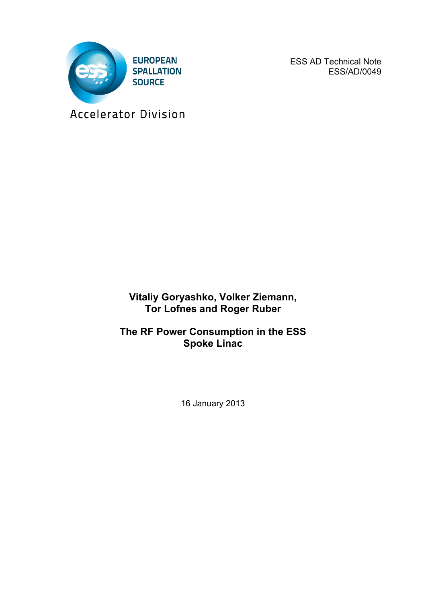

ESS AD Technical Note ESS/AD/0049

Accelerator Division

**Vitaliy Goryashko, Volker Ziemann, Tor Lofnes and Roger Ruber**

**The RF Power Consumption in the ESS Spoke Linac**

16 January 2013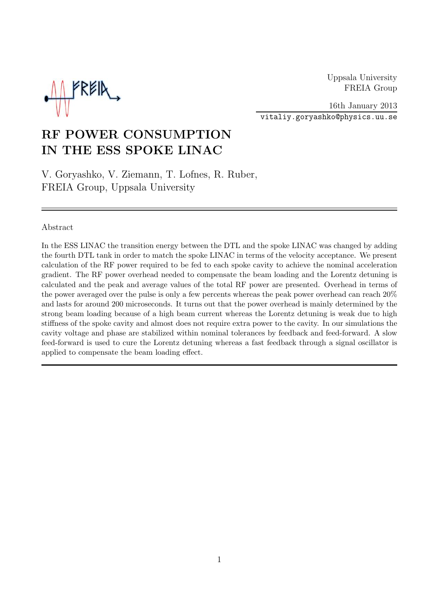Uppsala University FREIA Group



16th January 2013 vitaliy.goryashko@physics.uu.se

# RF POWER CONSUMPTION IN THE ESS SPOKE LINAC

V. Goryashko, V. Ziemann, T. Lofnes, R. Ruber, FREIA Group, Uppsala University

#### Abstract

In the ESS LINAC the transition energy between the DTL and the spoke LINAC was changed by adding the fourth DTL tank in order to match the spoke LINAC in terms of the velocity acceptance. We present calculation of the RF power required to be fed to each spoke cavity to achieve the nominal acceleration gradient. The RF power overhead needed to compensate the beam loading and the Lorentz detuning is calculated and the peak and average values of the total RF power are presented. Overhead in terms of the power averaged over the pulse is only a few percents whereas the peak power overhead can reach 20% and lasts for around 200 microseconds. It turns out that the power overhead is mainly determined by the strong beam loading because of a high beam current whereas the Lorentz detuning is weak due to high stiffness of the spoke cavity and almost does not require extra power to the cavity. In our simulations the cavity voltage and phase are stabilized within nominal tolerances by feedback and feed-forward. A slow feed-forward is used to cure the Lorentz detuning whereas a fast feedback through a signal oscillator is applied to compensate the beam loading effect.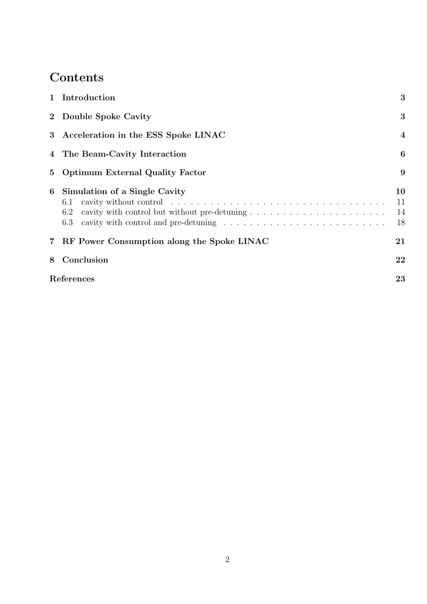# Contents

| $\mathbf{1}$            | Introduction                                       | 3                    |  |
|-------------------------|----------------------------------------------------|----------------------|--|
|                         | 2 Double Spoke Cavity                              | 3                    |  |
| 3 <sup>1</sup>          | Acceleration in the ESS Spoke LINAC                | $\overline{4}$       |  |
|                         | 4 The Beam-Cavity Interaction                      | 6                    |  |
| $5\overline{)}$         | <b>Optimum External Quality Factor</b>             | 9                    |  |
| 6                       | Simulation of a Single Cavity<br>6.1<br>6.2<br>6.3 | 10<br>11<br>14<br>18 |  |
| $\overline{\mathbf{7}}$ | RF Power Consumption along the Spoke LINAC         | 21                   |  |
| 8                       | Conclusion                                         | 22                   |  |
|                         | References<br>23                                   |                      |  |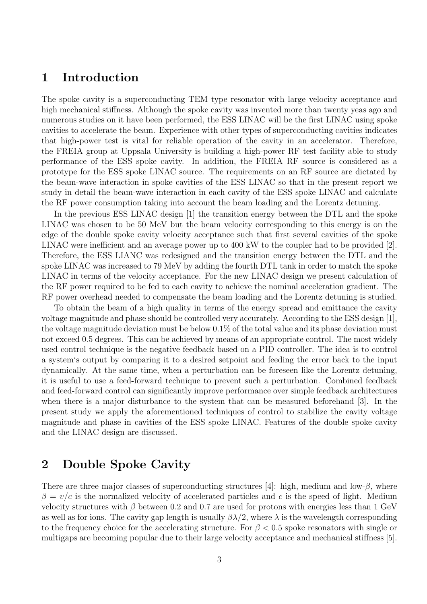### <span id="page-3-0"></span>1 Introduction

The spoke cavity is a superconducting TEM type resonator with large velocity acceptance and high mechanical stiffness. Although the spoke cavity was invented more than twenty yeas ago and numerous studies on it have been performed, the ESS LINAC will be the first LINAC using spoke cavities to accelerate the beam. Experience with other types of superconducting cavities indicates that high-power test is vital for reliable operation of the cavity in an accelerator. Therefore, the FREIA group at Uppsala University is building a high-power RF test facility able to study performance of the ESS spoke cavity. In addition, the FREIA RF source is considered as a prototype for the ESS spoke LINAC source. The requirements on an RF source are dictated by the beam-wave interaction in spoke cavities of the ESS LINAC so that in the present report we study in detail the beam-wave interaction in each cavity of the ESS spoke LINAC and calculate the RF power consumption taking into account the beam loading and the Lorentz detuning.

In the previous ESS LINAC design [[1\]](#page-23-0) the transition energy between the DTL and the spoke LINAC was chosen to be 50 MeV but the beam velocity corresponding to this energy is on the edge of the double spoke cavity velocity acceptance such that first several cavities of the spoke LINAC were inefficient and an average power up to 400 kW to the coupler had to be provided [[2](#page-23-0)]. Therefore, the ESS LIANC was redesigned and the transition energy between the DTL and the spoke LINAC was increased to 79 MeV by adding the fourth DTL tank in order to match the spoke LINAC in terms of the velocity acceptance. For the new LINAC design we present calculation of the RF power required to be fed to each cavity to achieve the nominal acceleration gradient. The RF power overhead needed to compensate the beam loading and the Lorentz detuning is studied.

To obtain the beam of a high quality in terms of the energy spread and emittance the cavity voltage magnitude and phase should be controlled very accurately. According to the ESS design [[1](#page-23-0)], the voltage magnitude deviation must be below  $0.1\%$  of the total value and its phase deviation must not exceed 0.5 degrees. This can be achieved by means of an appropriate control. The most widely used control technique is the negative feedback based on a PID controller. The idea is to control a system's output by comparing it to a desired setpoint and feeding the error back to the input dynamically. At the same time, when a perturbation can be foreseen like the Lorentz detuning, it is useful to use a feed-forward technique to prevent such a perturbation. Combined feedback and feed-forward control can significantly improve performance over simple feedback architectures when there is a major disturbance to the system that can be measured beforehand [[3\]](#page-23-0). In the present study we apply the aforementioned techniques of control to stabilize the cavity voltage magnitude and phase in cavities of the ESS spoke LINAC. Features of the double spoke cavity and the LINAC design are discussed.

## 2 Double Spoke Cavity

There are three major classes of superconducting structures [[4\]](#page-23-0): high, medium and low- $\beta$ , where  $\beta = v/c$  is the normalized velocity of accelerated particles and c is the speed of light. Medium velocity structures with  $\beta$  between 0.2 and 0.7 are used for protons with energies less than 1 GeV as well as for ions. The cavity gap length is usually  $\beta\lambda/2$ , where  $\lambda$  is the wavelength corresponding to the frequency choice for the accelerating structure. For  $\beta < 0.5$  spoke resonators with single or multigaps are becoming popular due to their large velocity acceptance and mechanical stiffness [[5](#page-23-0)].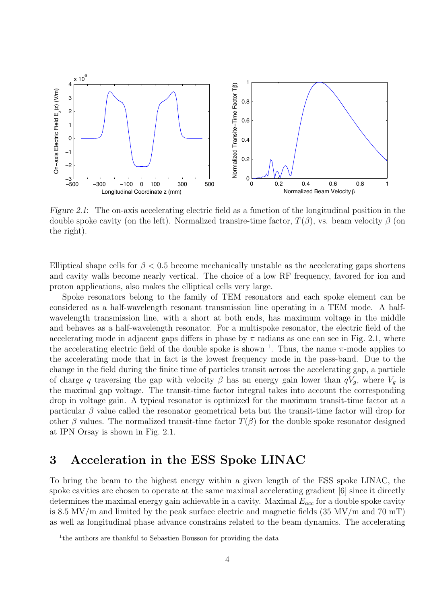<span id="page-4-0"></span>

Figure 2.1: The on-axis accelerating electric field as a function of the longitudinal position in the double spoke cavity (on the left). Normalized transire-time factor,  $T(\beta)$ , vs. beam velocity  $\beta$  (on the right).

Elliptical shape cells for  $\beta < 0.5$  become mechanically unstable as the accelerating gaps shortens and cavity walls become nearly vertical. The choice of a low RF frequency, favored for ion and proton applications, also makes the elliptical cells very large.

Spoke resonators belong to the family of TEM resonators and each spoke element can be considered as a half-wavelength resonant transmission line operating in a TEM mode. A halfwavelength transmission line, with a short at both ends, has maximum voltage in the middle and behaves as a half-wavelength resonator. For a multispoke resonator, the electric field of the accelerating mode in adjacent gaps differs in phase by  $\pi$  radians as one can see in Fig. 2.1, where the accelerating electric field of the double spoke is shown <sup>1</sup>. Thus, the name  $\pi$ -mode applies to the accelerating mode that in fact is the lowest frequency mode in the pass-band. Due to the change in the field during the finite time of particles transit across the accelerating gap, a particle of charge q traversing the gap with velocity  $\beta$  has an energy gain lower than  $qV_q$ , where  $V_q$  is the maximal gap voltage. The transit-time factor integral takes into account the corresponding drop in voltage gain. A typical resonator is optimized for the maximum transit-time factor at a particular  $\beta$  value called the resonator geometrical beta but the transit-time factor will drop for other  $\beta$  values. The normalized transit-time factor  $T(\beta)$  for the double spoke resonator designed at IPN Orsay is shown in Fig. 2.1.

### 3 Acceleration in the ESS Spoke LINAC

To bring the beam to the highest energy within a given length of the ESS spoke LINAC, the spoke cavities are chosen to operate at the same maximal accelerating gradient [[6\]](#page-23-0) since it directly determines the maximal energy gain achievable in a cavity. Maximal  $E_{acc}$  for a double spoke cavity is 8.5 MV/m and limited by the peak surface electric and magnetic fields (35 MV/m and 70 mT) as well as longitudinal phase advance constrains related to the beam dynamics. The accelerating

 $1$ <sup>1</sup>the authors are thankful to Sebastien Bousson for providing the data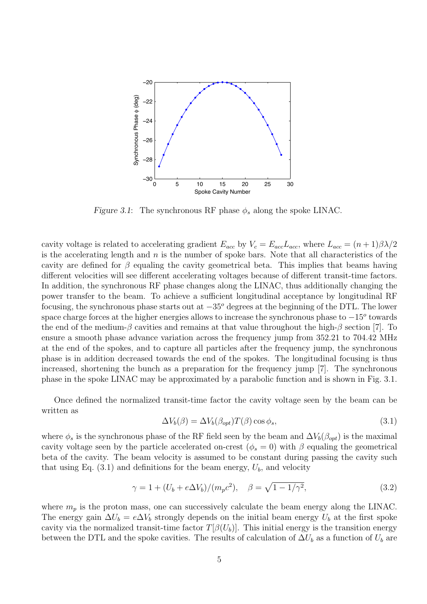

Figure 3.1: The synchronous RF phase  $\phi_s$  along the spoke LINAC.

cavity voltage is related to accelerating gradient  $E_{acc}$  by  $V_c = E_{acc}L_{acc}$ , where  $L_{acc} = (n+1)\beta\lambda/2$ is the accelerating length and  $n$  is the number of spoke bars. Note that all characteristics of the cavity are defined for  $\beta$  equaling the cavity geometrical beta. This implies that beams having different velocities will see different accelerating voltages because of different transit-time factors. In addition, the synchronous RF phase changes along the LINAC, thus additionally changing the power transfer to the beam. To achieve a sufficient longitudinal acceptance by longitudinal RF focusing, the synchronous phase starts out at  $-35^{\circ}$  degrees at the beginning of the DTL. The lower space charge forces at the higher energies allows to increase the synchronous phase to  $-15^{\circ}$  towards the end of the medium- $\beta$  cavities and remains at that value throughout the high- $\beta$  section [\[7\]](#page-23-0). To ensure a smooth phase advance variation across the frequency jump from 352.21 to 704.42 MHz at the end of the spokes, and to capture all particles after the frequency jump, the synchronous phase is in addition decreased towards the end of the spokes. The longitudinal focusing is thus increased, shortening the bunch as a preparation for the frequency jump [\[7\]](#page-23-0). The synchronous phase in the spoke LINAC may be approximated by a parabolic function and is shown in Fig. 3.1.

Once defined the normalized transit-time factor the cavity voltage seen by the beam can be written as

$$
\Delta V_b(\beta) = \Delta V_b(\beta_{opt}) T(\beta) \cos \phi_s,\tag{3.1}
$$

where  $\phi_s$  is the synchronous phase of the RF field seen by the beam and  $\Delta V_b(\beta_{opt})$  is the maximal cavity voltage seen by the particle accelerated on-crest ( $\phi_s = 0$ ) with  $\beta$  equaling the geometrical beta of the cavity. The beam velocity is assumed to be constant during passing the cavity such that using Eq.  $(3.1)$  and definitions for the beam energy,  $U_b$ , and velocity

$$
\gamma = 1 + (U_b + e\Delta V_b)/(m_p c^2), \quad \beta = \sqrt{1 - 1/\gamma^2},
$$
\n(3.2)

where  $m_p$  is the proton mass, one can successively calculate the beam energy along the LINAC. The energy gain  $\Delta U_b = e \Delta V_b$  strongly depends on the initial beam energy  $U_b$  at the first spoke cavity via the normalized transit-time factor  $T[\beta(U_b)]$ . This initial energy is the transition energy between the DTL and the spoke cavities. The results of calculation of  $\Delta U_b$  as a function of  $U_b$  are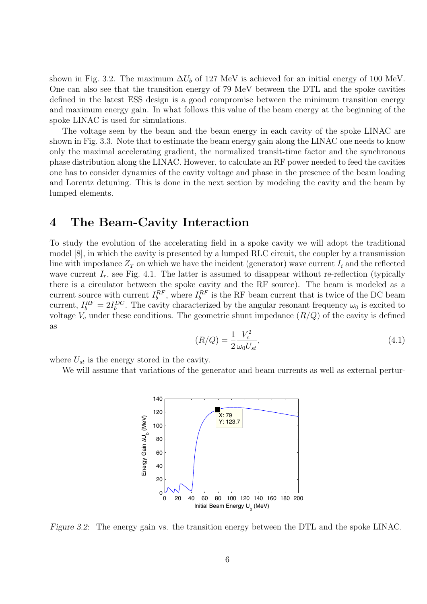<span id="page-6-0"></span>shown in Fig. 3.2. The maximum  $\Delta U_b$  of 127 MeV is achieved for an initial energy of 100 MeV. One can also see that the transition energy of 79 MeV between the DTL and the spoke cavities defined in the latest ESS design is a good compromise between the minimum transition energy and maximum energy gain. In what follows this value of the beam energy at the beginning of the spoke LINAC is used for simulations.

The voltage seen by the beam and the beam energy in each cavity of the spoke LINAC are shown in Fig. [3.3](#page-7-0). Note that to estimate the beam energy gain along the LINAC one needs to know only the maximal accelerating gradient, the normalized transit-time factor and the synchronous phase distribution along the LINAC. However, to calculate an RF power needed to feed the cavities one has to consider dynamics of the cavity voltage and phase in the presence of the beam loading and Lorentz detuning. This is done in the next section by modeling the cavity and the beam by lumped elements.

### 4 The Beam-Cavity Interaction

To study the evolution of the accelerating field in a spoke cavity we will adopt the traditional model [[8](#page-23-0)], in which the cavity is presented by a lumped RLC circuit, the coupler by a transmission line with impedance  $Z_T$  on which we have the incident (generator) wave current  $I_i$  and the reflected wave current  $I_r$ , see Fig. [4.1.](#page-7-0) The latter is assumed to disappear without re-reflection (typically there is a circulator between the spoke cavity and the RF source). The beam is modeled as a current source with current  $I_b^{RF}$ , where  $I_b^{RF}$  is the RF beam current that is twice of the DC beam current,  $I_b^{RF} = 2I_b^{DC}$ . The cavity characterized by the angular resonant frequency  $\omega_0$  is excited to voltage  $V_c$  under these conditions. The geometric shunt impedance  $(R/Q)$  of the cavity is defined as

$$
(R/Q) = \frac{1}{2} \frac{V_c^2}{\omega_0 U_{st}},\tag{4.1}
$$

where  $U_{st}$  is the energy stored in the cavity.

We will assume that variations of the generator and beam currents as well as external pertur-



Figure 3.2: The energy gain vs. the transition energy between the DTL and the spoke LINAC.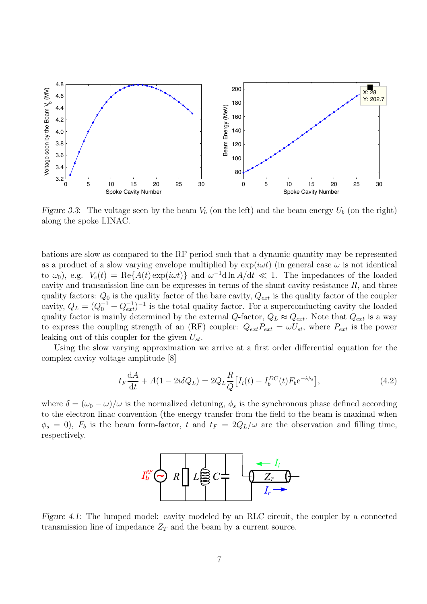<span id="page-7-0"></span>

Figure 3.3: The voltage seen by the beam  $V_b$  (on the left) and the beam energy  $U_b$  (on the right) along the spoke LINAC.

bations are slow as compared to the RF period such that a dynamic quantity may be represented as a product of a slow varying envelope multiplied by  $\exp(i\omega t)$  (in general case  $\omega$  is not identical to  $\omega_0$ ), e.g.  $V_c(t) = \text{Re}\{A(t)\exp(i\omega t)\}\$ and  $\omega^{-1}d\ln A/dt \ll 1$ . The impedances of the loaded cavity and transmission line can be expresses in terms of the shunt cavity resistance  $R$ , and three quality factors:  $Q_0$  is the quality factor of the bare cavity,  $Q_{ext}$  is the quality factor of the coupler cavity,  $Q_L = (Q_0^{-1} + Q_{ext}^{-1})^{-1}$  is the total quality factor. For a superconducting cavity the loaded quality factor is mainly determined by the external Q-factor,  $Q_L \approx Q_{ext}$ . Note that  $Q_{ext}$  is a way to express the coupling strength of an (RF) coupler:  $Q_{ext}P_{ext} = \omega U_{st}$ , where  $P_{ext}$  is the power leaking out of this coupler for the given  $U_{st}$ .

Using the slow varying approximation we arrive at a first order differential equation for the complex cavity voltage amplitude [\[8\]](#page-23-0)

$$
t_F \frac{dA}{dt} + A(1 - 2i\delta Q_L) = 2Q_L \frac{R}{Q} [I_i(t) - I_b^{DC}(t) F_b e^{-i\phi_s}],
$$
\n(4.2)

where  $\delta = (\omega_0 - \omega)/\omega$  is the normalized detuning,  $\phi_s$  is the synchronous phase defined according to the electron linac convention (the energy transfer from the field to the beam is maximal when  $\phi_s = 0$ ,  $F_b$  is the beam form-factor, t and  $t_F = 2Q_L/\omega$  are the observation and filling time, respectively.



Figure 4.1: The lumped model: cavity modeled by an RLC circuit, the coupler by a connected transmission line of impedance  $Z_T$  and the beam by a current source.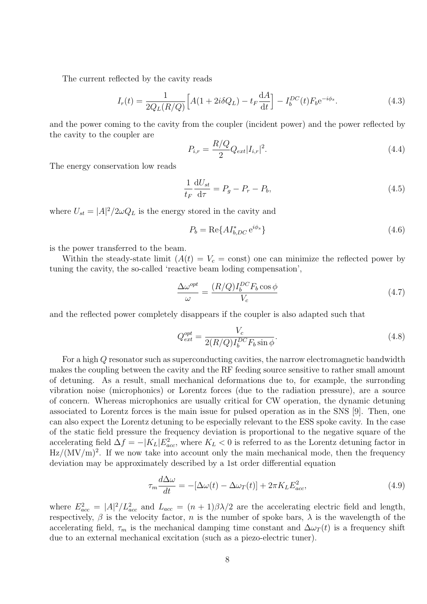<span id="page-8-0"></span>The current reflected by the cavity reads

$$
I_r(t) = \frac{1}{2Q_L(R/Q)} \Big[ A(1 + 2i\delta Q_L) - t_F \frac{dA}{dt} \Big] - I_b^{DC}(t) F_b e^{-i\phi_s}.
$$
 (4.3)

and the power coming to the cavity from the coupler (incident power) and the power reflected by the cavity to the coupler are

$$
P_{i,r} = \frac{R/Q}{2} Q_{ext} |I_{i,r}|^2.
$$
\n(4.4)

The energy conservation low reads

$$
\frac{1}{t_F} \frac{\mathrm{d}U_{st}}{\mathrm{d}\tau} = P_g - P_r - P_b,\tag{4.5}
$$

where  $U_{st} = |A|^2/2\omega Q_L$  is the energy stored in the cavity and

$$
P_b = \text{Re}\{A I_{b,DC}^* e^{i\phi_s}\}\tag{4.6}
$$

is the power transferred to the beam.

Within the steady-state limit  $(A(t) = V_c = \text{const})$  one can minimize the reflected power by tuning the cavity, the so-called 'reactive beam loding compensation',

$$
\frac{\Delta\omega^{opt}}{\omega} = \frac{(R/Q)I_b^{DC}F_b\cos\phi}{V_c}
$$
\n(4.7)

and the reflected power completely disappears if the coupler is also adapted such that

$$
Q_{ext}^{opt} = \frac{V_c}{2(R/Q)I_b^{DC}F_b\sin\phi}.
$$
\n(4.8)

For a high Q resonator such as superconducting cavities, the narrow electromagnetic bandwidth makes the coupling between the cavity and the RF feeding source sensitive to rather small amount of detuning. As a result, small mechanical deformations due to, for example, the surronding vibration noise (microphonics) or Lorentz forces (due to the radiation pressure), are a source of concern. Whereas microphonics are usually critical for CW operation, the dynamic detuning associated to Lorentz forces is the main issue for pulsed operation as in the SNS [\[9](#page-23-0)]. Then, one can also expect the Lorentz detuning to be especially relevant to the ESS spoke cavity. In the case of the static field pressure the frequency deviation is proportional to the negative square of the accelerating field  $\Delta f = -|K_L|E_{acc}^2$ , where  $K_L < 0$  is referred to as the Lorentz detuning factor in  $\rm Hz/(MV/m)^2$ . If we now take into account only the main mechanical mode, then the frequency deviation may be approximately described by a 1st order differential equation

$$
\tau_m \frac{d\Delta\omega}{dt} = -[\Delta\omega(t) - \Delta\omega_T(t)] + 2\pi K_L E_{acc}^2,\tag{4.9}
$$

where  $E_{acc}^2 = |A|^2 / L_{acc}^2$  and  $L_{acc} = (n+1)\beta\lambda/2$  are the accelerating electric field and length, respectively,  $\beta$  is the velocity factor, n is the number of spoke bars,  $\lambda$  is the wavelength of the accelerating field,  $\tau_m$  is the mechanical damping time constant and  $\Delta \omega_T(t)$  is a frequency shift due to an external mechanical excitation (such as a piezo-electric tuner).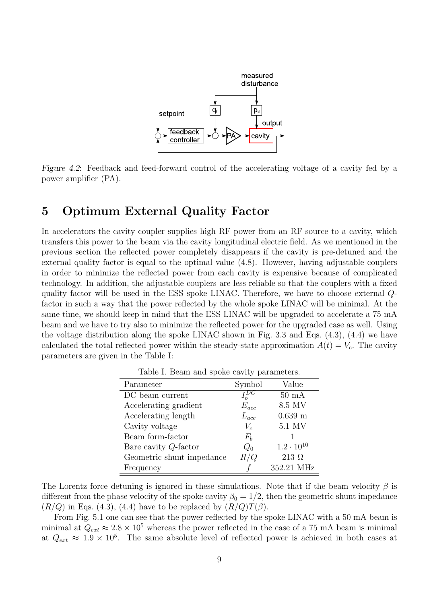<span id="page-9-0"></span>

Figure 4.2: Feedback and feed-forward control of the accelerating voltage of a cavity fed by a power amplifier (PA).

# 5 Optimum External Quality Factor

In accelerators the cavity coupler supplies high RF power from an RF source to a cavity, which transfers this power to the beam via the cavity longitudinal electric field. As we mentioned in the previous section the reflected power completely disappears if the cavity is pre-detuned and the external quality factor is equal to the optimal value [\(4.8](#page-8-0)). However, having adjustable couplers in order to minimize the reflected power from each cavity is expensive because of complicated technology. In addition, the adjustable couplers are less reliable so that the couplers with a fixed quality factor will be used in the ESS spoke LINAC. Therefore, we have to choose external Qfactor in such a way that the power reflected by the whole spoke LINAC will be minimal. At the same time, we should keep in mind that the ESS LINAC will be upgraded to accelerate a 75 mA beam and we have to try also to minimize the reflected power for the upgraded case as well. Using the voltage distribution along the spoke LINAC shown in Fig. [3.3](#page-7-0) and Eqs. ([4.3\)](#page-8-0), [\(4.4](#page-8-0)) we have calculated the total reflected power within the steady-state approximation  $A(t) = V_c$ . The cavity parameters are given in the Table I:

| Parameter                 | Symbol       | Value               |
|---------------------------|--------------|---------------------|
| DC beam current           | $I_{b}^{DC}$ | $50 \text{ mA}$     |
| Accelerating gradient     | $E_{acc}$    | 8.5 MV              |
| Accelerating length       | $L_{acc}$    | $0.639$ m           |
| Cavity voltage            | $V_c$        | 5.1 MV              |
| Beam form-factor          | $F_b$        |                     |
| Bare cavity $Q$ -factor   | $Q_0$        | $1.2 \cdot 10^{10}$ |
| Geometric shunt impedance | R/Q          | $213\ \Omega$       |
| Frequency                 |              | 352.21 MHz          |

Table I. Beam and spoke cavity parameters.

The Lorentz force detuning is ignored in these simulations. Note that if the beam velocity  $\beta$  is different from the phase velocity of the spoke cavity  $\beta_0 = 1/2$ , then the geometric shunt impedance  $(R/Q)$  in Eqs. [\(4.3](#page-8-0)), [\(4.4](#page-8-0)) have to be replaced by  $(R/Q)T(\beta)$ .

From Fig. [5.1](#page-10-0) one can see that the power reflected by the spoke LINAC with a 50 mA beam is minimal at  $Q_{ext} \approx 2.8 \times 10^5$  whereas the power reflected in the case of a 75 mA beam is minimal at  $Q_{ext} \approx 1.9 \times 10^5$ . The same absolute level of reflected power is achieved in both cases at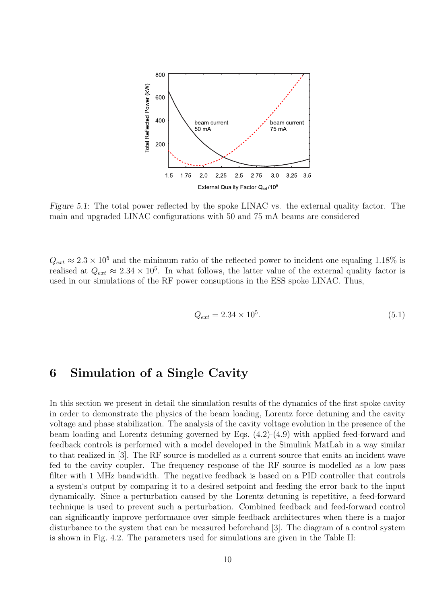<span id="page-10-0"></span>

Figure 5.1: The total power reflected by the spoke LINAC vs. the external quality factor. The main and upgraded LINAC configurations with 50 and 75 mA beams are considered

 $Q_{ext} \approx 2.3 \times 10^5$  and the minimum ratio of the reflected power to incident one equaling 1.18% is realised at  $Q_{ext} \approx 2.34 \times 10^5$ . In what follows, the latter value of the external quality factor is used in our simulations of the RF power consuptions in the ESS spoke LINAC. Thus,

$$
Q_{ext} = 2.34 \times 10^5. \tag{5.1}
$$

# 6 Simulation of a Single Cavity

In this section we present in detail the simulation results of the dynamics of the first spoke cavity in order to demonstrate the physics of the beam loading, Lorentz force detuning and the cavity voltage and phase stabilization. The analysis of the cavity voltage evolution in the presence of the beam loading and Lorentz detuning governed by Eqs. [\(4.2](#page-7-0))-[\(4.9](#page-8-0)) with applied feed-forward and feedback controls is performed with a model developed in the Simulink MatLab in a way similar to that realized in [\[3](#page-23-0)]. The RF source is modelled as a current source that emits an incident wave fed to the cavity coupler. The frequency response of the RF source is modelled as a low pass filter with 1 MHz bandwidth. The negative feedback is based on a PID controller that controls a system's output by comparing it to a desired setpoint and feeding the error back to the input dynamically. Since a perturbation caused by the Lorentz detuning is repetitive, a feed-forward technique is used to prevent such a perturbation. Combined feedback and feed-forward control can significantly improve performance over simple feedback architectures when there is a major disturbance to the system that can be measured beforehand [\[3\]](#page-23-0). The diagram of a control system is shown in Fig. [4.2.](#page-9-0) The parameters used for simulations are given in the Table II: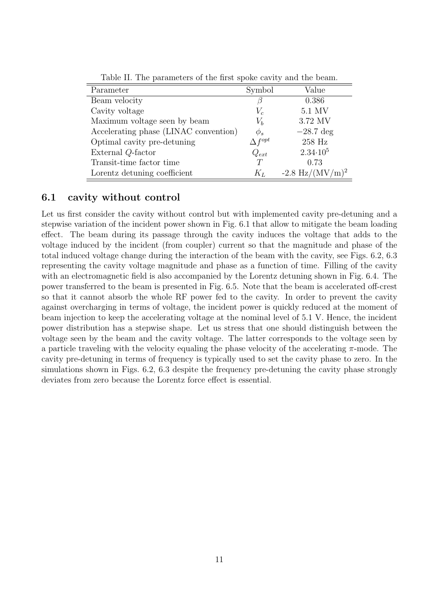<span id="page-11-0"></span>

| Parameter                             | Symbol           | Value                               |
|---------------------------------------|------------------|-------------------------------------|
| Beam velocity                         |                  | 0.386                               |
| Cavity voltage                        | $V_c$            | 5.1 MV                              |
| Maximum voltage seen by beam          | $V_b$            | 3.72 MV                             |
| Accelerating phase (LINAC convention) | $\phi_s$         | $-28.7$ deg                         |
| Optimal cavity pre-detuning           | $\Delta f^{opt}$ | 258 Hz                              |
| External Q-factor                     | $Q_{ext}$        | $2.34 \cdot 10^5$                   |
| Transit-time factor time              |                  | 0.73                                |
| Lorentz detuning coefficient          | $K_L$            | $-2.8 \text{ Hz} / (\text{MV/m})^2$ |

Table II. The parameters of the first spoke cavity and the beam.

#### 6.1 cavity without control

Let us first consider the cavity without control but with implemented cavity pre-detuning and a stepwise variation of the incident power shown in Fig. [6.1](#page-12-0) that allow to mitigate the beam loading effect. The beam during its passage through the cavity induces the voltage that adds to the voltage induced by the incident (from coupler) current so that the magnitude and phase of the total induced voltage change during the interaction of the beam with the cavity, see Figs. [6.2,](#page-12-0) [6.3](#page-13-0) representing the cavity voltage magnitude and phase as a function of time. Filling of the cavity with an electromagnetic field is also accompanied by the Lorentz detuning shown in Fig. [6.4](#page-14-0). The power transferred to the beam is presented in Fig. [6.5](#page-14-0). Note that the beam is accelerated off-crest so that it cannot absorb the whole RF power fed to the cavity. In order to prevent the cavity against overcharging in terms of voltage, the incident power is quickly reduced at the moment of beam injection to keep the accelerating voltage at the nominal level of 5.1 V. Hence, the incident power distribution has a stepwise shape. Let us stress that one should distinguish between the voltage seen by the beam and the cavity voltage. The latter corresponds to the voltage seen by a particle traveling with the velocity equaling the phase velocity of the accelerating  $\pi$ -mode. The cavity pre-detuning in terms of frequency is typically used to set the cavity phase to zero. In the simulations shown in Figs. [6.2,](#page-12-0) [6.3](#page-13-0) despite the frequency pre-detuning the cavity phase strongly deviates from zero because the Lorentz force effect is essential.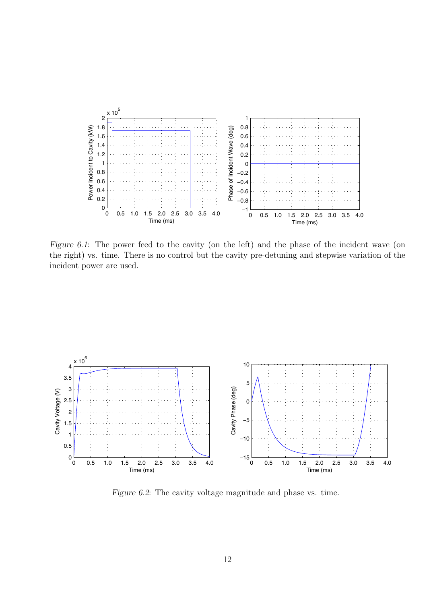<span id="page-12-0"></span>

Figure 6.1: The power feed to the cavity (on the left) and the phase of the incident wave (on the right) vs. time. There is no control but the cavity pre-detuning and stepwise variation of the incident power are used.



Figure 6.2: The cavity voltage magnitude and phase vs. time.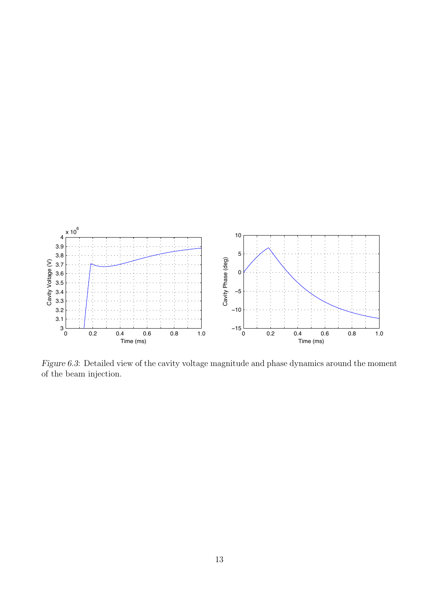<span id="page-13-0"></span>

Figure 6.3: Detailed view of the cavity voltage magnitude and phase dynamics around the moment of the beam injection.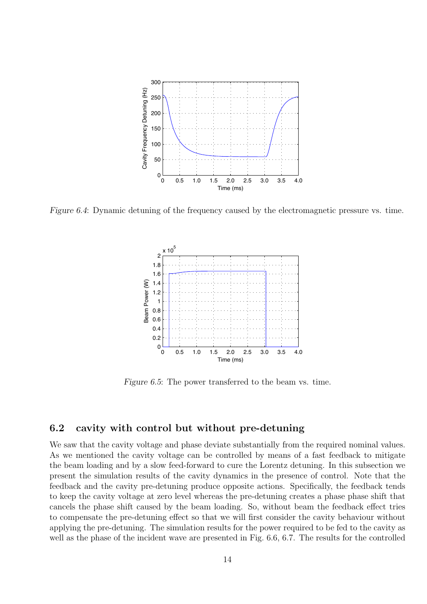<span id="page-14-0"></span>

Figure 6.4: Dynamic detuning of the frequency caused by the electromagnetic pressure vs. time.



Figure 6.5: The power transferred to the beam vs. time.

#### 6.2 cavity with control but without pre-detuning

We saw that the cavity voltage and phase deviate substantially from the required nominal values. As we mentioned the cavity voltage can be controlled by means of a fast feedback to mitigate the beam loading and by a slow feed-forward to cure the Lorentz detuning. In this subsection we present the simulation results of the cavity dynamics in the presence of control. Note that the feedback and the cavity pre-detuning produce opposite actions. Specifically, the feedback tends to keep the cavity voltage at zero level whereas the pre-detuning creates a phase phase shift that cancels the phase shift caused by the beam loading. So, without beam the feedback effect tries to compensate the pre-detuning effect so that we will first consider the cavity behaviour without applying the pre-detuning. The simulation results for the power required to be fed to the cavity as well as the phase of the incident wave are presented in Fig. [6.6,](#page-15-0) [6.7.](#page-15-0) The results for the controlled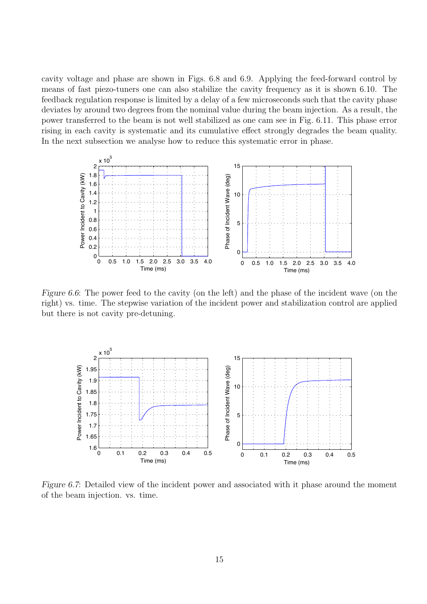<span id="page-15-0"></span>cavity voltage and phase are shown in Figs. [6.8](#page-16-0) and [6.9.](#page-16-0) Applying the feed-forward control by means of fast piezo-tuners one can also stabilize the cavity frequency as it is shown [6.10.](#page-17-0) The feedback regulation response is limited by a delay of a few microseconds such that the cavity phase deviates by around two degrees from the nominal value during the beam injection. As a result, the power transferred to the beam is not well stabilized as one cam see in Fig. [6.11.](#page-17-0) This phase error rising in each cavity is systematic and its cumulative effect strongly degrades the beam quality. In the next subsection we analyse how to reduce this systematic error in phase.



Figure 6.6: The power feed to the cavity (on the left) and the phase of the incident wave (on the right) vs. time. The stepwise variation of the incident power and stabilization control are applied but there is not cavity pre-detuning.



Figure 6.7: Detailed view of the incident power and associated with it phase around the moment of the beam injection. vs. time.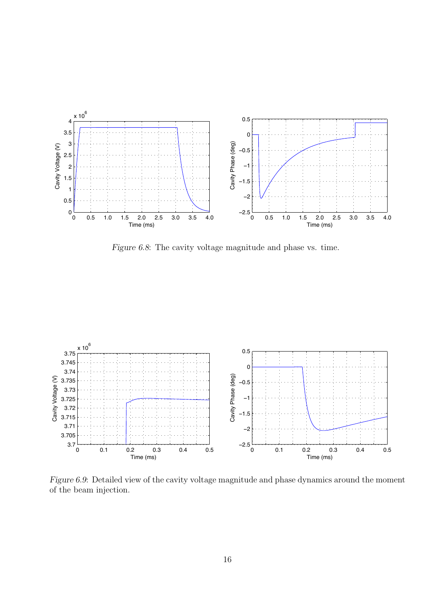<span id="page-16-0"></span>

Figure 6.8: The cavity voltage magnitude and phase vs. time.



Figure 6.9: Detailed view of the cavity voltage magnitude and phase dynamics around the moment of the beam injection.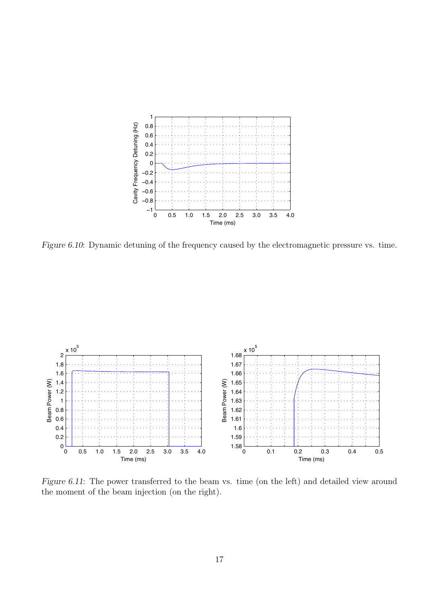<span id="page-17-0"></span>

Figure 6.10: Dynamic detuning of the frequency caused by the electromagnetic pressure vs. time.



Figure 6.11: The power transferred to the beam vs. time (on the left) and detailed view around the moment of the beam injection (on the right).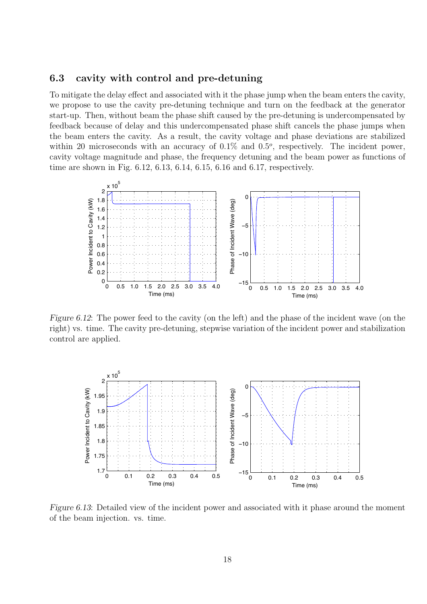#### <span id="page-18-0"></span>6.3 cavity with control and pre-detuning

To mitigate the delay effect and associated with it the phase jump when the beam enters the cavity, we propose to use the cavity pre-detuning technique and turn on the feedback at the generator start-up. Then, without beam the phase shift caused by the pre-detuning is undercompensated by feedback because of delay and this undercompensated phase shift cancels the phase jumps when the beam enters the cavity. As a result, the cavity voltage and phase deviations are stabilized within 20 microseconds with an accuracy of  $0.1\%$  and  $0.5^{\circ}$ , respectively. The incident power, cavity voltage magnitude and phase, the frequency detuning and the beam power as functions of time are shown in Fig. 6.12, 6.13, [6.14](#page-19-0), [6.15](#page-19-0), [6.16](#page-20-0) and [6.17,](#page-20-0) respectively.



Figure 6.12: The power feed to the cavity (on the left) and the phase of the incident wave (on the right) vs. time. The cavity pre-detuning, stepwise variation of the incident power and stabilization control are applied.



Figure 6.13: Detailed view of the incident power and associated with it phase around the moment of the beam injection. vs. time.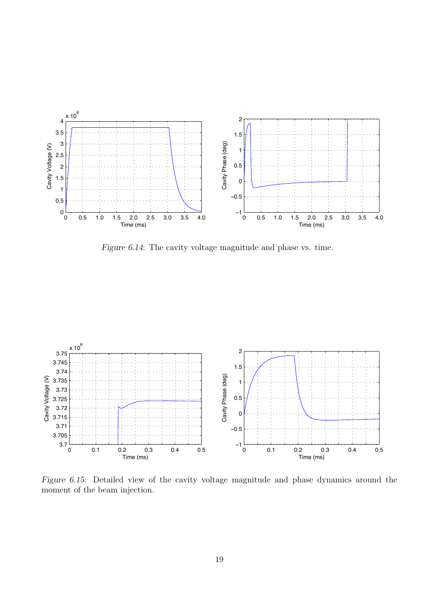<span id="page-19-0"></span>

Figure 6.14: The cavity voltage magnitude and phase vs. time.



Figure 6.15: Detailed view of the cavity voltage magnitude and phase dynamics around the moment of the beam injection.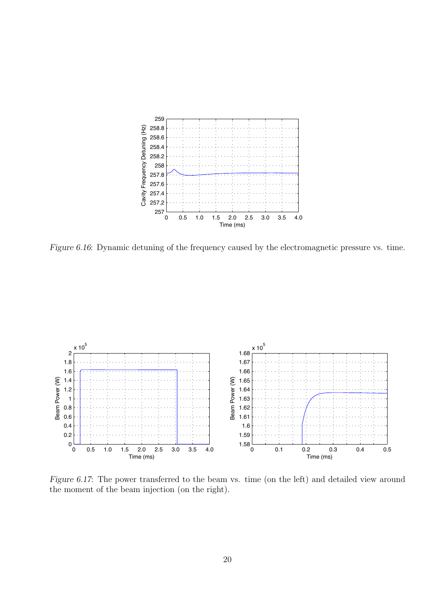<span id="page-20-0"></span>

Figure 6.16: Dynamic detuning of the frequency caused by the electromagnetic pressure vs. time.



Figure 6.17: The power transferred to the beam vs. time (on the left) and detailed view around the moment of the beam injection (on the right).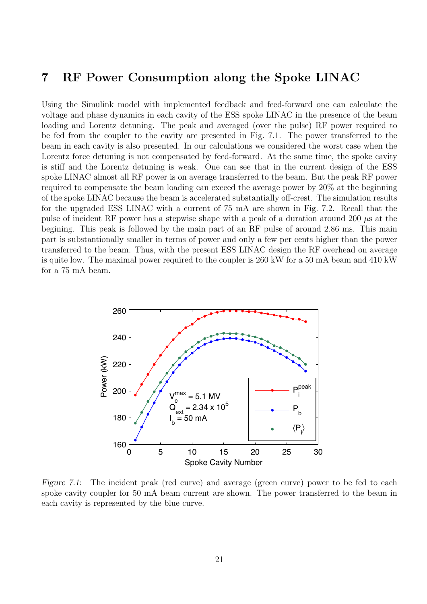### <span id="page-21-0"></span>7 RF Power Consumption along the Spoke LINAC

Using the Simulink model with implemented feedback and feed-forward one can calculate the voltage and phase dynamics in each cavity of the ESS spoke LINAC in the presence of the beam loading and Lorentz detuning. The peak and averaged (over the pulse) RF power required to be fed from the coupler to the cavity are presented in Fig. 7.1. The power transferred to the beam in each cavity is also presented. In our calculations we considered the worst case when the Lorentz force detuning is not compensated by feed-forward. At the same time, the spoke cavity is stiff and the Lorentz detuning is weak. One can see that in the current design of the ESS spoke LINAC almost all RF power is on average transferred to the beam. But the peak RF power required to compensate the beam loading can exceed the average power by 20% at the beginning of the spoke LINAC because the beam is accelerated substantially off-crest. The simulation results for the upgraded ESS LINAC with a current of 75 mA are shown in Fig. [7.2.](#page-22-0) Recall that the pulse of incident RF power has a stepwise shape with a peak of a duration around 200  $\mu$ s at the begining. This peak is followed by the main part of an RF pulse of around 2.86 ms. This main part is substantionally smaller in terms of power and only a few per cents higher than the power transferred to the beam. Thus, with the present ESS LINAC design the RF overhead on average is quite low. The maximal power required to the coupler is 260 kW for a 50 mA beam and 410 kW for a 75 mA beam.



Figure 7.1: The incident peak (red curve) and average (green curve) power to be fed to each spoke cavity coupler for 50 mA beam current are shown. The power transferred to the beam in each cavity is represented by the blue curve.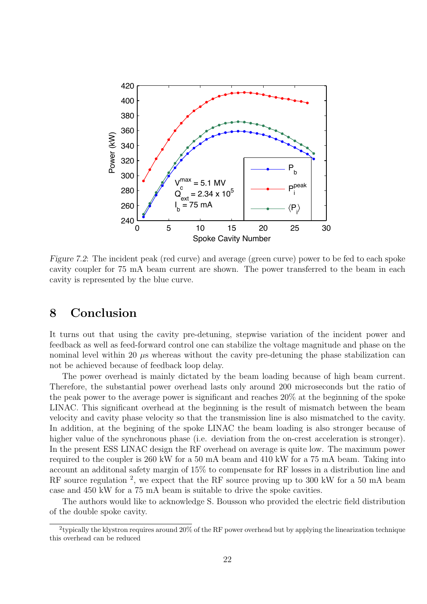<span id="page-22-0"></span>

Figure 7.2: The incident peak (red curve) and average (green curve) power to be fed to each spoke cavity coupler for 75 mA beam current are shown. The power transferred to the beam in each cavity is represented by the blue curve.

## 8 Conclusion

It turns out that using the cavity pre-detuning, stepwise variation of the incident power and feedback as well as feed-forward control one can stabilize the voltage magnitude and phase on the nominal level within 20  $\mu$ s whereas without the cavity pre-detuning the phase stabilization can not be achieved because of feedback loop delay.

The power overhead is mainly dictated by the beam loading because of high beam current. Therefore, the substantial power overhead lasts only around 200 microseconds but the ratio of the peak power to the average power is significant and reaches 20% at the beginning of the spoke LINAC. This significant overhead at the beginning is the result of mismatch between the beam velocity and cavity phase velocity so that the transmission line is also mismatched to the cavity. In addition, at the begining of the spoke LINAC the beam loading is also stronger because of higher value of the synchronous phase (i.e. deviation from the on-crest acceleration is stronger). In the present ESS LINAC design the RF overhead on average is quite low. The maximum power required to the coupler is 260 kW for a 50 mA beam and 410 kW for a 75 mA beam. Taking into account an additonal safety margin of 15% to compensate for RF losses in a distribution line and RF source regulation  $^2$ , we expect that the RF source proving up to 300 kW for a 50 mA beam case and 450 kW for a 75 mA beam is suitable to drive the spoke cavities.

The authors would like to acknowledge S. Bousson who provided the electric field distribution of the double spoke cavity.

<sup>&</sup>lt;sup>2</sup>typically the klystron requires around 20% of the RF power overhead but by applying the linearization technique this overhead can be reduced